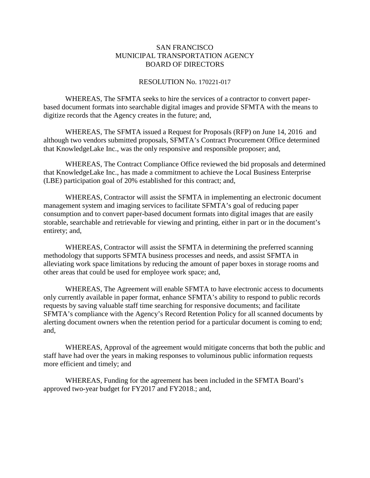## SAN FRANCISCO MUNICIPAL TRANSPORTATION AGENCY BOARD OF DIRECTORS

## RESOLUTION No. 170221-017

WHEREAS, The SFMTA seeks to hire the services of a contractor to convert paperbased document formats into searchable digital images and provide SFMTA with the means to digitize records that the Agency creates in the future; and,

WHEREAS, The SFMTA issued a Request for Proposals (RFP) on June 14, 2016 and although two vendors submitted proposals, SFMTA's Contract Procurement Office determined that KnowledgeLake Inc., was the only responsive and responsible proposer; and,

WHEREAS, The Contract Compliance Office reviewed the bid proposals and determined that KnowledgeLake Inc., has made a commitment to achieve the Local Business Enterprise (LBE) participation goal of 20% established for this contract; and,

WHEREAS, Contractor will assist the SFMTA in implementing an electronic document management system and imaging services to facilitate SFMTA's goal of reducing paper consumption and to convert paper-based document formats into digital images that are easily storable, searchable and retrievable for viewing and printing, either in part or in the document's entirety; and,

WHEREAS, Contractor will assist the SFMTA in determining the preferred scanning methodology that supports SFMTA business processes and needs, and assist SFMTA in alleviating work space limitations by reducing the amount of paper boxes in storage rooms and other areas that could be used for employee work space; and,

WHEREAS, The Agreement will enable SFMTA to have electronic access to documents only currently available in paper format, enhance SFMTA's ability to respond to public records requests by saving valuable staff time searching for responsive documents; and facilitate SFMTA's compliance with the Agency's Record Retention Policy for all scanned documents by alerting document owners when the retention period for a particular document is coming to end; and,

WHEREAS, Approval of the agreement would mitigate concerns that both the public and staff have had over the years in making responses to voluminous public information requests more efficient and timely; and

WHEREAS, Funding for the agreement has been included in the SFMTA Board's approved two-year budget for FY2017 and FY2018.; and,